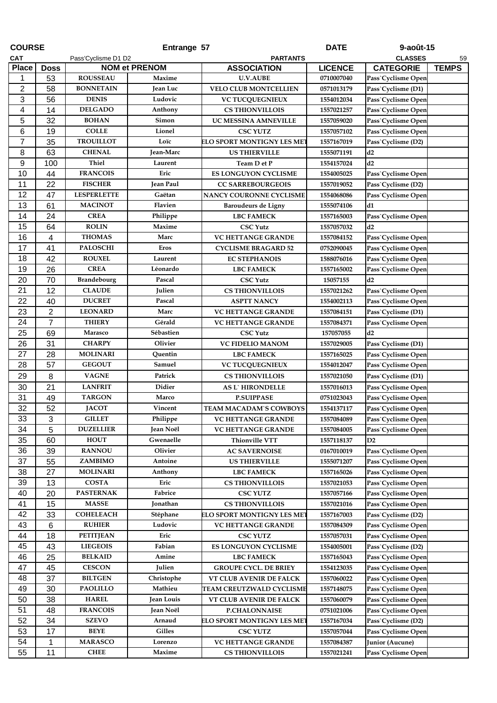| <b>COURSE</b>           |                |                     | Entrange 57          |                              | <b>DATE</b>    | 9-août-15          |              |
|-------------------------|----------------|---------------------|----------------------|------------------------------|----------------|--------------------|--------------|
| <b>CAT</b>              |                | Pass'Cyclisme D1 D2 |                      | <b>PARTANTS</b>              |                | <b>CLASSES</b>     | 59           |
| <b>Place</b>            | <b>Doss</b>    |                     | <b>NOM et PRENOM</b> | <b>ASSOCIATION</b>           | <b>LICENCE</b> | <b>CATEGORIE</b>   | <b>TEMPS</b> |
| 1                       | 53             | <b>ROUSSEAU</b>     | Maxime               | <b>U.V.AUBE</b>              | 0710007040     | Pass`Cyclisme Open |              |
| $\overline{\mathbf{c}}$ | 58             | <b>BONNETAIN</b>    | Jean Luc             | <b>VELO CLUB MONTCELLIEN</b> | 0571013179     | Pass`Cyclisme (D1) |              |
| 3                       | 56             | <b>DENIS</b>        | Ludovic              | <b>VC TUCQUEGNIEUX</b>       | 1554012034     | Pass`Cyclisme Open |              |
| 4                       | 14             | <b>DELGADO</b>      | Anthony              | <b>CS THIONVILLOIS</b>       | 1557021257     | Pass`Cyclisme Open |              |
| 5                       | 32             | <b>BOHAN</b>        | Simon                | UC MESSINA AMNEVILLE         | 1557059020     | Pass`Cyclisme Open |              |
| 6                       | 19             | <b>COLLE</b>        | Lionel               | <b>CSC YUTZ</b>              | 1557057102     | Pass`Cyclisme Open |              |
| $\overline{7}$          | 35             | <b>TROUILLOT</b>    | Loïc                 | ELO SPORT MONTIGNY LES ME    | 1557167019     | Pass`Cyclisme (D2) |              |
| 8                       | 63             | <b>CHENAL</b>       | Jean-Marc            | <b>US THIERVILLE</b>         | 1555071191     | d2                 |              |
| 9                       | 100            | <b>Thiel</b>        | Laurent              | Team D et P                  | 1554157024     | d2                 |              |
| 10                      | 44             | <b>FRANCOIS</b>     | Eric                 | <b>ES LONGUYON CYCLISME</b>  | 1554005025     | Pass`Cyclisme Open |              |
| 11                      | 22             | <b>FISCHER</b>      | Jean Paul            | <b>CC SARREBOURGEOIS</b>     | 1557019052     | Pass`Cyclisme (D2) |              |
| 12                      | 47             | <b>LESPERLETTE</b>  | Gaëtan               | NANCY COURONNE CYCLISME      | 1554068086     | Pass`Cyclisme Open |              |
| 13                      | 61             | <b>MACINOT</b>      | Flavien              | Baroudeurs de Ligny          | 1555074106     | d1                 |              |
| 14                      | 24             | <b>CREA</b>         | Philippe             | <b>LBC FAMECK</b>            | 1557165003     | Pass`Cyclisme Open |              |
| 15                      | 64             | <b>ROLIN</b>        | Maxime               | <b>CSC Yutz</b>              | 1557057032     | d2                 |              |
| 16                      | 4              | <b>THOMAS</b>       | Marc                 | <b>VC HETTANGE GRANDE</b>    | 1557084152     | Pass`Cyclisme Open |              |
| 17                      | 41             | <b>PALOSCHI</b>     | <b>Eros</b>          | <b>CYCLISME BRAGARD 52</b>   | 0752090045     | Pass`Cyclisme Open |              |
| 18                      | 42             | <b>ROUXEL</b>       | Laurent              | <b>EC STEPHANOIS</b>         | 1588076016     | Pass`Cyclisme Open |              |
| 19                      | 26             | <b>CREA</b>         | Léonardo             | <b>LBC FAMECK</b>            |                |                    |              |
| 20                      |                |                     |                      |                              | 1557165002     | Pass`Cyclisme Open |              |
|                         | 70             | <b>Brandebourg</b>  | Pascal               | <b>CSC Yutz</b>              | 15057155       | d2                 |              |
| 21                      | 12             | <b>CLAUDE</b>       | Julien               | <b>CS THIONVILLOIS</b>       | 1557021262     | Pass`Cyclisme Open |              |
| 22                      | 40             | <b>DUCRET</b>       | Pascal               | <b>ASPTT NANCY</b>           | 1554002113     | Pass`Cyclisme Open |              |
| 23                      | $\overline{2}$ | <b>LEONARD</b>      | Marc                 | <b>VC HETTANGE GRANDE</b>    | 1557084151     | Pass`Cyclisme (D1) |              |
| 24                      | $\overline{7}$ | <b>THIERY</b>       | Gérald               | <b>VC HETTANGE GRANDE</b>    | 1557084371     | Pass`Cyclisme Open |              |
| 25                      | 69             | Marasco             | Sébastien            | <b>CSC Yutz</b>              | 157057055      | d2                 |              |
| 26                      | 31             | <b>CHARPY</b>       | Olivier              | VC FIDELIO MANOM             | 1557029005     | Pass`Cyclisme (D1) |              |
| 27                      | 28             | <b>MOLINARI</b>     | Quentin              | <b>LBC FAMECK</b>            | 1557165025     | Pass`Cyclisme Open |              |
| 28                      | 57             | <b>GEGOUT</b>       | Samuel               | <b>VC TUCQUEGNIEUX</b>       | 1554012047     | Pass`Cyclisme Open |              |
| 29                      | 8              | <b>VAGNE</b>        | Patrick              | <b>CS THIONVILLOIS</b>       | 1557021050     | Pass`Cyclisme (D1) |              |
| 30                      | 21             | <b>LANFRIT</b>      | Didier               | <b>AS L'HIRONDELLE</b>       | 1557016013     | Pass`Cyclisme Open |              |
| 31                      | 49             | <b>TARGON</b>       | Marco                | <b>P.SUIPPASE</b>            | 0751023043     | Pass`Cyclisme Open |              |
| 32                      | 52             | <b>JACOT</b>        | Vincent              | TEAM MACADAM'S COWBOYS       | 1554137117     | Pass`Cyclisme Open |              |
| 33                      | $\mathbf{3}$   | ${\bf GILLET}$      | Philippe             | VC HETTANGE GRANDE           | 1557084089     | Pass`Cyclisme Open |              |
| 34                      | 5              | <b>DUZELLIER</b>    | Jean Noël            | VC HETTANGE GRANDE           | 1557084005     | Pass`Cyclisme Open |              |
| 35                      | 60             | <b>HOUT</b>         | Gwenaelle            | <b>Thionville VTT</b>        | 1557118137     | D2                 |              |
| 36                      | 39             | <b>RANNOU</b>       | Olivier              | <b>AC SAVERNOISE</b>         | 0167010019     | Pass`Cyclisme Open |              |
| 37                      | 55             | ZAMBIMO             | Antoine              | <b>US THIERVILLE</b>         | 1555071207     | Pass`Cyclisme Open |              |
| 38                      | 27             | <b>MOLINARI</b>     | Anthony              | <b>LBC FAMECK</b>            | 1557165026     | Pass`Cyclisme Open |              |
| 39                      | 13             | <b>COSTA</b>        | Eric                 | <b>CS THIONVILLOIS</b>       | 1557021053     | Pass`Cyclisme Open |              |
| 40                      | 20             | <b>PASTERNAK</b>    | Fabrice              | <b>CSC YUTZ</b>              | 1557057166     | Pass`Cyclisme Open |              |
| 41                      | 15             | <b>MASSE</b>        | Jonathan             | <b>CS THIONVILLOIS</b>       | 1557021016     | Pass`Cyclisme Open |              |
| 42                      | 33             | <b>COHELEACH</b>    | Stéphane             | ELO SPORT MONTIGNY LES ME'   | 1557167003     | Pass`Cyclisme (D2) |              |
| 43                      | 6              | <b>RUHIER</b>       | Ludovic              | VC HETTANGE GRANDE           | 1557084309     | Pass`Cyclisme Open |              |
| 44                      | 18             | <b>PETITJEAN</b>    | Eric                 | <b>CSC YUTZ</b>              | 1557057031     | Pass`Cyclisme Open |              |
| 45                      | 43             | <b>LIEGEOIS</b>     | Fabian               | ES LONGUYON CYCLISME         | 1554005001     | Pass`Cyclisme (D2) |              |
| 46                      | 25             | <b>BELKAID</b>      | Amine                | <b>LBC FAMECK</b>            | 1557165043     | Pass`Cyclisme Open |              |
| 47                      | 45             | <b>CESCON</b>       | Julien               | <b>GROUPE CYCL. DE BRIEY</b> | 1554123035     | Pass`Cyclisme Open |              |
| 48                      | 37             | <b>BILTGEN</b>      | Christophe           | VT CLUB AVENIR DE FALCK      | 1557060022     | Pass`Cyclisme Open |              |
| 49                      | 30             | <b>PAOLILLO</b>     | Mathieu              | TEAM CREUTZWALD CYCLISME     | 1557148075     | Pass`Cyclisme Open |              |
| 50                      | 38             | <b>HAREL</b>        | <b>Jean Louis</b>    | VT CLUB AVENIR DE FALCK      | 1557060079     | Pass`Cyclisme Open |              |
| 51                      | 48             | <b>FRANCOIS</b>     | Jean Noël            | P.CHALONNAISE                | 0751021006     | Pass`Cyclisme Open |              |
| 52                      | 34             | <b>SZEVO</b>        | Arnaud               | ELO SPORT MONTIGNY LES ME'   | 1557167034     | Pass`Cyclisme (D2) |              |
| 53                      | 17             | <b>BEYE</b>         | Gilles               | <b>CSC YUTZ</b>              | 1557057044     | Pass`Cyclisme Open |              |
| 54                      |                | <b>MARASCO</b>      |                      |                              |                |                    |              |
|                         | 1              |                     | Lorenzo              | <b>VC HETTANGE GRANDE</b>    | 1557084387     | Junior (Aucune)    |              |
| 55                      | 11             | <b>CHEE</b>         | Maxime               | <b>CS THIONVILLOIS</b>       | 1557021241     | Pass`Cyclisme Open |              |